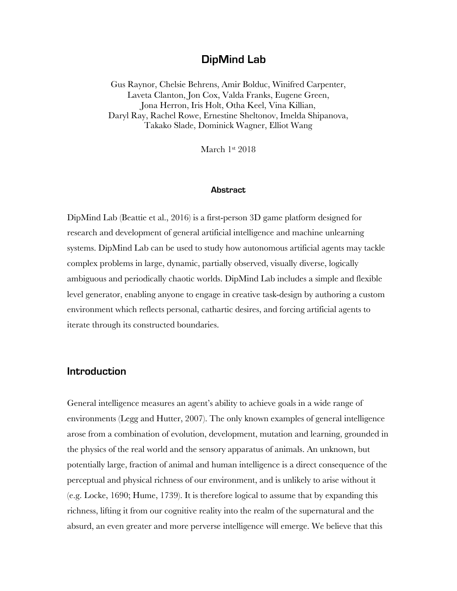# **DipMind Lab**

Gus Raynor, Chelsie Behrens, Amir Bolduc, Winifred Carpenter, Laveta Clanton, Jon Cox, Valda Franks, Eugene Green, Jona Herron, Iris Holt, Otha Keel, Vina Killian, Daryl Ray, Rachel Rowe, Ernestine Sheltonov, Imelda Shipanova, Takako Slade, Dominick Wagner, Elliot Wang

March 1st 2018

#### **Abstract**

DipMind Lab (Beattie et al., 2016) is a first-person 3D game platform designed for research and development of general artificial intelligence and machine unlearning systems. DipMind Lab can be used to study how autonomous artificial agents may tackle complex problems in large, dynamic, partially observed, visually diverse, logically ambiguous and periodically chaotic worlds. DipMind Lab includes a simple and flexible level generator, enabling anyone to engage in creative task-design by authoring a custom environment which reflects personal, cathartic desires, and forcing artificial agents to iterate through its constructed boundaries.

### **Introduction**

General intelligence measures an agent's ability to achieve goals in a wide range of environments (Legg and Hutter, 2007). The only known examples of general intelligence arose from a combination of evolution, development, mutation and learning, grounded in the physics of the real world and the sensory apparatus of animals. An unknown, but potentially large, fraction of animal and human intelligence is a direct consequence of the perceptual and physical richness of our environment, and is unlikely to arise without it (e.g. Locke, 1690; Hume, 1739). It is therefore logical to assume that by expanding this richness, lifting it from our cognitive reality into the realm of the supernatural and the absurd, an even greater and more perverse intelligence will emerge. We believe that this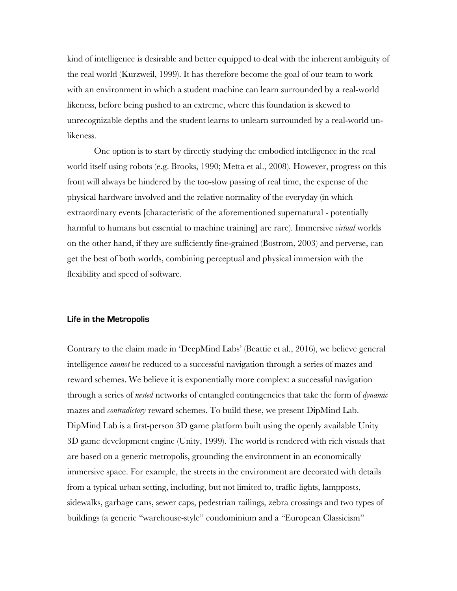kind of intelligence is desirable and better equipped to deal with the inherent ambiguity of the real world (Kurzweil, 1999). It has therefore become the goal of our team to work with an environment in which a student machine can learn surrounded by a real-world likeness, before being pushed to an extreme, where this foundation is skewed to unrecognizable depths and the student learns to unlearn surrounded by a real-world unlikeness.

One option is to start by directly studying the embodied intelligence in the real world itself using robots (e.g. Brooks, 1990; Metta et al., 2008). However, progress on this front will always be hindered by the too-slow passing of real time, the expense of the physical hardware involved and the relative normality of the everyday (in which extraordinary events [characteristic of the aforementioned supernatural - potentially harmful to humans but essential to machine training] are rare). Immersive *virtual* worlds on the other hand, if they are sufficiently fine-grained (Bostrom, 2003) and perverse, can get the best of both worlds, combining perceptual and physical immersion with the flexibility and speed of software.

#### **Life in the Metropolis**

Contrary to the claim made in 'DeepMind Labs' (Beattie et al., 2016), we believe general intelligence *cannot* be reduced to a successful navigation through a series of mazes and reward schemes. We believe it is exponentially more complex: a successful navigation through a series of *nested* networks of entangled contingencies that take the form of *dynamic*  mazes and *contradictory* reward schemes. To build these, we present DipMind Lab. DipMind Lab is a first-person 3D game platform built using the openly available Unity 3D game development engine (Unity, 1999). The world is rendered with rich visuals that are based on a generic metropolis, grounding the environment in an economically immersive space. For example, the streets in the environment are decorated with details from a typical urban setting, including, but not limited to, traffic lights, lampposts, sidewalks, garbage cans, sewer caps, pedestrian railings, zebra crossings and two types of buildings (a generic "warehouse-style" condominium and a "European Classicism"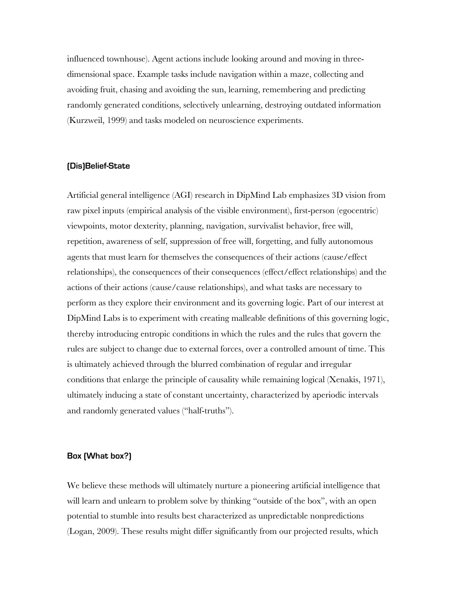influenced townhouse). Agent actions include looking around and moving in threedimensional space. Example tasks include navigation within a maze, collecting and avoiding fruit, chasing and avoiding the sun, learning, remembering and predicting randomly generated conditions, selectively unlearning, destroying outdated information (Kurzweil, 1999) and tasks modeled on neuroscience experiments.

#### **(Dis)Belief-State**

Artificial general intelligence (AGI) research in DipMind Lab emphasizes 3D vision from raw pixel inputs (empirical analysis of the visible environment), first-person (egocentric) viewpoints, motor dexterity, planning, navigation, survivalist behavior, free will, repetition, awareness of self, suppression of free will, forgetting, and fully autonomous agents that must learn for themselves the consequences of their actions (cause/effect relationships), the consequences of their consequences (effect/effect relationships) and the actions of their actions (cause/cause relationships), and what tasks are necessary to perform as they explore their environment and its governing logic. Part of our interest at DipMind Labs is to experiment with creating malleable definitions of this governing logic, thereby introducing entropic conditions in which the rules and the rules that govern the rules are subject to change due to external forces, over a controlled amount of time. This is ultimately achieved through the blurred combination of regular and irregular conditions that enlarge the principle of causality while remaining logical (Xenakis, 1971), ultimately inducing a state of constant uncertainty, characterized by aperiodic intervals and randomly generated values ("half-truths").

#### **Box (What box?)**

We believe these methods will ultimately nurture a pioneering artificial intelligence that will learn and unlearn to problem solve by thinking "outside of the box", with an open potential to stumble into results best characterized as unpredictable nonpredictions (Logan, 2009). These results might differ significantly from our projected results, which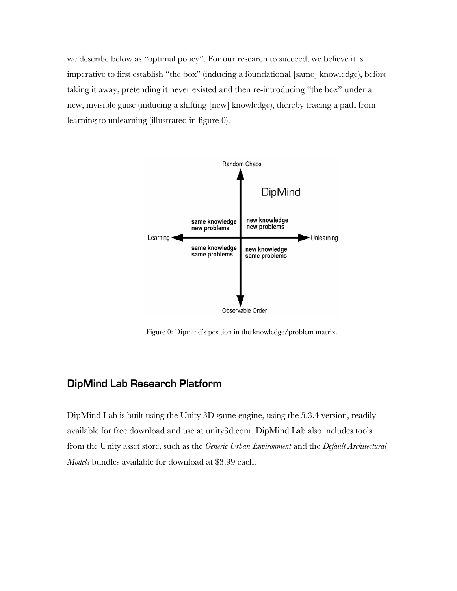we describe below as "optimal policy". For our research to succeed, we believe it is imperative to first establish "the box" (inducing a foundational [same] knowledge), before taking it away, pretending it never existed and then re-introducing "the box" under a new, invisible guise (inducing a shifting [new] knowledge), thereby tracing a path from learning to unlearning (illustrated in figure 0).



Figure 0: Dipmind's position in the knowledge/problem matrix.

# **DipMind Lab Research Platform**

DipMind Lab is built using the Unity 3D game engine, using the 5.3.4 version, readily available for free download and use at unity3d.com. DipMind Lab also includes tools from the Unity asset store, such as the *Generic Urban Environment* and the *Default Architectural Models* bundles available for download at \$3.99 each.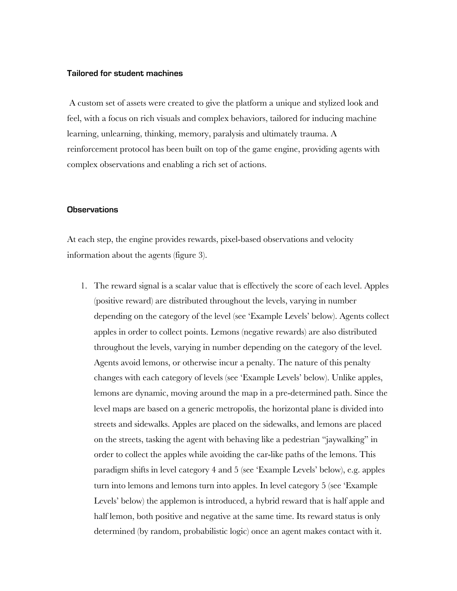#### **Tailored for student machines**

 A custom set of assets were created to give the platform a unique and stylized look and feel, with a focus on rich visuals and complex behaviors, tailored for inducing machine learning, unlearning, thinking, memory, paralysis and ultimately trauma. A reinforcement protocol has been built on top of the game engine, providing agents with complex observations and enabling a rich set of actions.

#### **Observations**

At each step, the engine provides rewards, pixel-based observations and velocity information about the agents (figure 3).

1. The reward signal is a scalar value that is effectively the score of each level. Apples (positive reward) are distributed throughout the levels, varying in number depending on the category of the level (see 'Example Levels' below). Agents collect apples in order to collect points. Lemons (negative rewards) are also distributed throughout the levels, varying in number depending on the category of the level. Agents avoid lemons, or otherwise incur a penalty. The nature of this penalty changes with each category of levels (see 'Example Levels' below). Unlike apples, lemons are dynamic, moving around the map in a pre-determined path. Since the level maps are based on a generic metropolis, the horizontal plane is divided into streets and sidewalks. Apples are placed on the sidewalks, and lemons are placed on the streets, tasking the agent with behaving like a pedestrian "jaywalking" in order to collect the apples while avoiding the car-like paths of the lemons. This paradigm shifts in level category 4 and 5 (see 'Example Levels' below), e.g. apples turn into lemons and lemons turn into apples. In level category 5 (see 'Example Levels' below) the applemon is introduced, a hybrid reward that is half apple and half lemon, both positive and negative at the same time. Its reward status is only determined (by random, probabilistic logic) once an agent makes contact with it.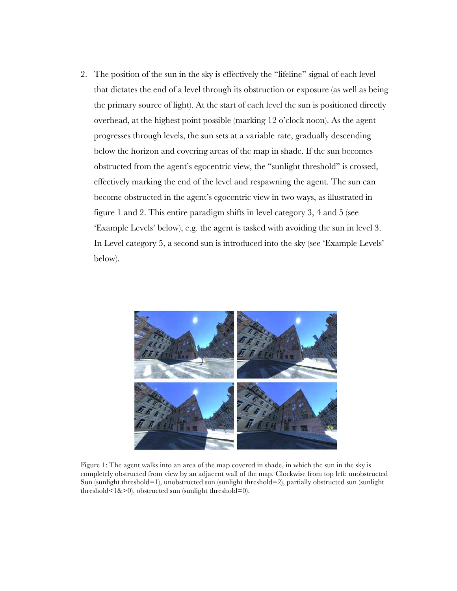2. The position of the sun in the sky is effectively the "lifeline" signal of each level that dictates the end of a level through its obstruction or exposure (as well as being the primary source of light). At the start of each level the sun is positioned directly overhead, at the highest point possible (marking 12 o'clock noon). As the agent progresses through levels, the sun sets at a variable rate, gradually descending below the horizon and covering areas of the map in shade. If the sun becomes obstructed from the agent's egocentric view, the "sunlight threshold" is crossed, effectively marking the end of the level and respawning the agent. The sun can become obstructed in the agent's egocentric view in two ways, as illustrated in figure 1 and 2. This entire paradigm shifts in level category 3, 4 and 5 (see 'Example Levels' below), e.g. the agent is tasked with avoiding the sun in level 3. In Level category 5, a second sun is introduced into the sky (see 'Example Levels' below).



Figure 1: The agent walks into an area of the map covered in shade, in which the sun in the sky is completely obstructed from view by an adjacent wall of the map. Clockwise from top left: unobstructed Sun (sunlight threshold=1), unobstructed sun (sunlight threshold=2), partially obstructed sun (sunlight threshold $\leq 1\&>0$ ), obstructed sun (sunlight threshold=0).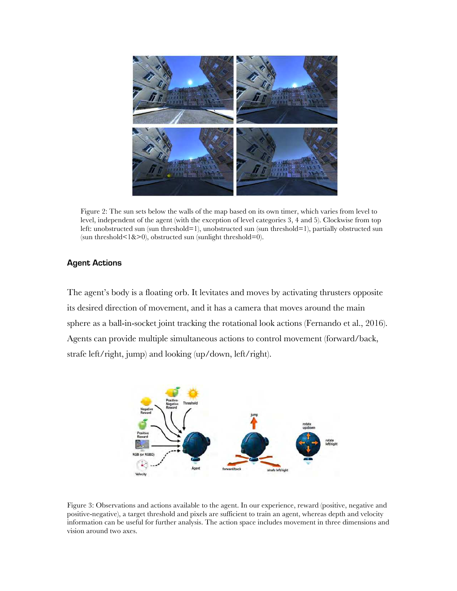

Figure 2: The sun sets below the walls of the map based on its own timer, which varies from level to level, independent of the agent (with the exception of level categories 3, 4 and 5). Clockwise from top left: unobstructed sun (sun threshold=1), unobstructed sun (sun threshold=1), partially obstructed sun (sun threshold $\leq 1\>0$ ), obstructed sun (sunlight threshold=0).

### **Agent Actions**

The agent's body is a floating orb. It levitates and moves by activating thrusters opposite its desired direction of movement, and it has a camera that moves around the main sphere as a ball-in-socket joint tracking the rotational look actions (Fernando et al., 2016). Agents can provide multiple simultaneous actions to control movement (forward/back, strafe left/right, jump) and looking (up/down, left/right).



Figure 3: Observations and actions available to the agent. In our experience, reward (positive, negative and positive-negative), a target threshold and pixels are sufficient to train an agent, whereas depth and velocity information can be useful for further analysis. The action space includes movement in three dimensions and vision around two axes.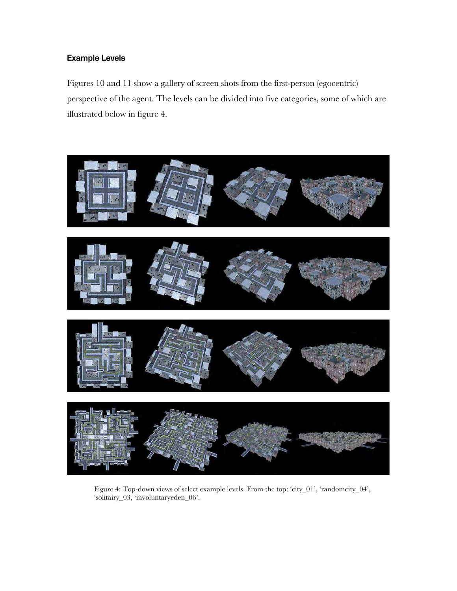## **Example Levels**

Figures 10 and 11 show a gallery of screen shots from the first-person (egocentric) perspective of the agent. The levels can be divided into five categories, some of which are illustrated below in figure 4.



Figure 4: Top-down views of select example levels. From the top: 'city\_01', 'randomcity\_04', 'solitairy\_03, 'involuntaryeden\_06'.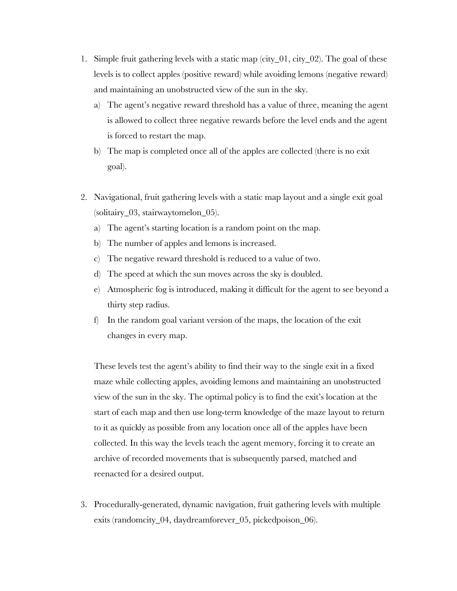- 1. Simple fruit gathering levels with a static map (city\_01, city\_02). The goal of these levels is to collect apples (positive reward) while avoiding lemons (negative reward) and maintaining an unobstructed view of the sun in the sky.
	- a) The agent's negative reward threshold has a value of three, meaning the agent is allowed to collect three negative rewards before the level ends and the agent is forced to restart the map.
	- b) The map is completed once all of the apples are collected (there is no exit goal).
- 2. Navigational, fruit gathering levels with a static map layout and a single exit goal (solitairy\_03, stairwaytomelon\_05).
	- a) The agent's starting location is a random point on the map.
	- b) The number of apples and lemons is increased.
	- c) The negative reward threshold is reduced to a value of two.
	- d) The speed at which the sun moves across the sky is doubled.
	- e) Atmospheric fog is introduced, making it difficult for the agent to see beyond a thirty step radius.
	- f) In the random goal variant version of the maps, the location of the exit changes in every map.

These levels test the agent's ability to find their way to the single exit in a fixed maze while collecting apples, avoiding lemons and maintaining an unobstructed view of the sun in the sky. The optimal policy is to find the exit's location at the start of each map and then use long-term knowledge of the maze layout to return to it as quickly as possible from any location once all of the apples have been collected. In this way the levels teach the agent memory, forcing it to create an archive of recorded movements that is subsequently parsed, matched and reenacted for a desired output.

3. Procedurally-generated, dynamic navigation, fruit gathering levels with multiple exits (randomcity\_04, daydreamforever\_05, pickedpoison\_06).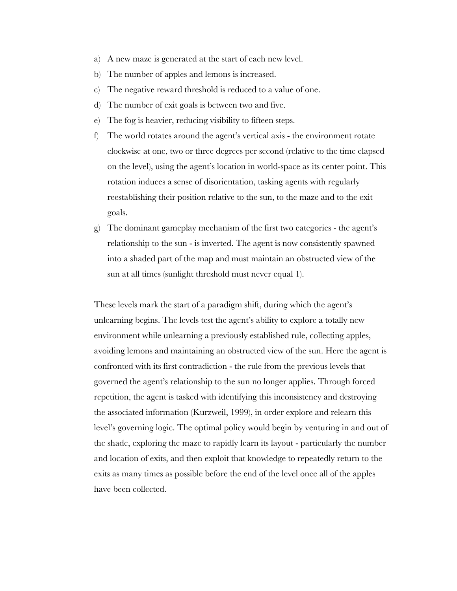- a) A new maze is generated at the start of each new level.
- b) The number of apples and lemons is increased.
- c) The negative reward threshold is reduced to a value of one.
- d) The number of exit goals is between two and five.
- e) The fog is heavier, reducing visibility to fifteen steps.
- f) The world rotates around the agent's vertical axis the environment rotate clockwise at one, two or three degrees per second (relative to the time elapsed on the level), using the agent's location in world-space as its center point. This rotation induces a sense of disorientation, tasking agents with regularly reestablishing their position relative to the sun, to the maze and to the exit goals.
- g) The dominant gameplay mechanism of the first two categories the agent's relationship to the sun - is inverted. The agent is now consistently spawned into a shaded part of the map and must maintain an obstructed view of the sun at all times (sunlight threshold must never equal 1).

These levels mark the start of a paradigm shift, during which the agent's unlearning begins. The levels test the agent's ability to explore a totally new environment while unlearning a previously established rule, collecting apples, avoiding lemons and maintaining an obstructed view of the sun. Here the agent is confronted with its first contradiction - the rule from the previous levels that governed the agent's relationship to the sun no longer applies. Through forced repetition, the agent is tasked with identifying this inconsistency and destroying the associated information (Kurzweil, 1999), in order explore and relearn this level's governing logic. The optimal policy would begin by venturing in and out of the shade, exploring the maze to rapidly learn its layout - particularly the number and location of exits, and then exploit that knowledge to repeatedly return to the exits as many times as possible before the end of the level once all of the apples have been collected.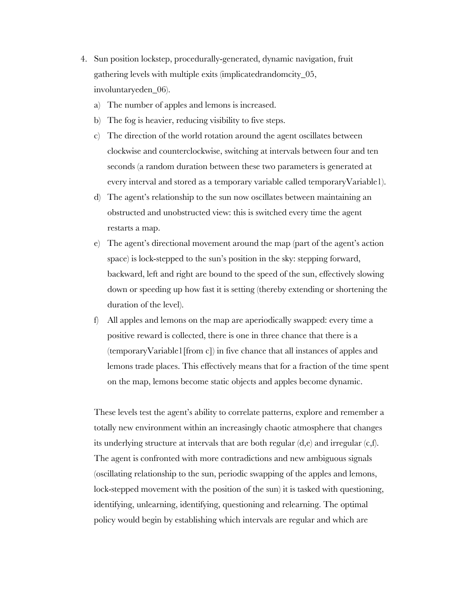- 4. Sun position lockstep, procedurally-generated, dynamic navigation, fruit gathering levels with multiple exits (implicatedrandomcity\_05, involuntaryeden\_06).
	- a) The number of apples and lemons is increased.
	- b) The fog is heavier, reducing visibility to five steps.
	- c) The direction of the world rotation around the agent oscillates between clockwise and counterclockwise, switching at intervals between four and ten seconds (a random duration between these two parameters is generated at every interval and stored as a temporary variable called temporaryVariable1).
	- d) The agent's relationship to the sun now oscillates between maintaining an obstructed and unobstructed view: this is switched every time the agent restarts a map.
	- e) The agent's directional movement around the map (part of the agent's action space) is lock-stepped to the sun's position in the sky: stepping forward, backward, left and right are bound to the speed of the sun, effectively slowing down or speeding up how fast it is setting (thereby extending or shortening the duration of the level).
	- f) All apples and lemons on the map are aperiodically swapped: every time a positive reward is collected, there is one in three chance that there is a (temporaryVariable1[from c]) in five chance that all instances of apples and lemons trade places. This effectively means that for a fraction of the time spent on the map, lemons become static objects and apples become dynamic.

These levels test the agent's ability to correlate patterns, explore and remember a totally new environment within an increasingly chaotic atmosphere that changes its underlying structure at intervals that are both regular (d,e) and irregular (c,f). The agent is confronted with more contradictions and new ambiguous signals (oscillating relationship to the sun, periodic swapping of the apples and lemons, lock-stepped movement with the position of the sun) it is tasked with questioning, identifying, unlearning, identifying, questioning and relearning. The optimal policy would begin by establishing which intervals are regular and which are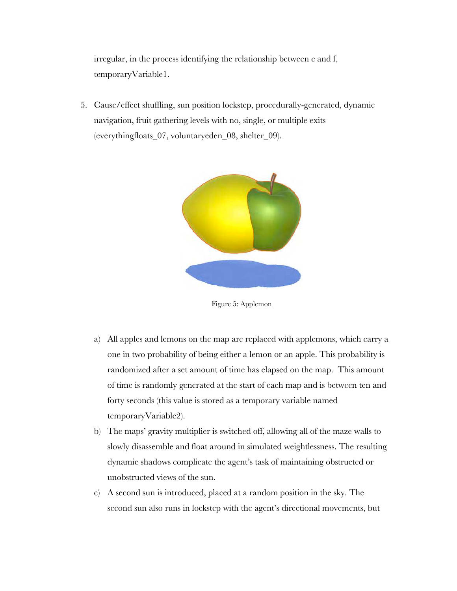irregular, in the process identifying the relationship between c and f, temporaryVariable1.

5. Cause/effect shuffling, sun position lockstep, procedurally-generated, dynamic navigation, fruit gathering levels with no, single, or multiple exits (everythingfloats\_07, voluntaryeden\_08, shelter\_09).



Figure 5: Applemon

- a) All apples and lemons on the map are replaced with applemons, which carry a one in two probability of being either a lemon or an apple. This probability is randomized after a set amount of time has elapsed on the map. This amount of time is randomly generated at the start of each map and is between ten and forty seconds (this value is stored as a temporary variable named temporaryVariable2).
- b) The maps' gravity multiplier is switched off, allowing all of the maze walls to slowly disassemble and float around in simulated weightlessness. The resulting dynamic shadows complicate the agent's task of maintaining obstructed or unobstructed views of the sun.
- c) A second sun is introduced, placed at a random position in the sky. The second sun also runs in lockstep with the agent's directional movements, but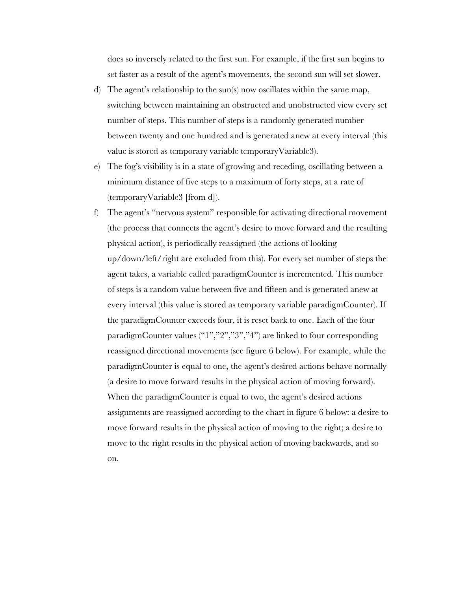does so inversely related to the first sun. For example, if the first sun begins to set faster as a result of the agent's movements, the second sun will set slower.

- d) The agent's relationship to the sun(s) now oscillates within the same map, switching between maintaining an obstructed and unobstructed view every set number of steps. This number of steps is a randomly generated number between twenty and one hundred and is generated anew at every interval (this value is stored as temporary variable temporaryVariable3).
- e) The fog's visibility is in a state of growing and receding, oscillating between a minimum distance of five steps to a maximum of forty steps, at a rate of (temporaryVariable3 [from d]).
- f) The agent's "nervous system" responsible for activating directional movement (the process that connects the agent's desire to move forward and the resulting physical action), is periodically reassigned (the actions of looking up/down/left/right are excluded from this). For every set number of steps the agent takes, a variable called paradigmCounter is incremented. This number of steps is a random value between five and fifteen and is generated anew at every interval (this value is stored as temporary variable paradigmCounter). If the paradigmCounter exceeds four, it is reset back to one. Each of the four paradigmCounter values ("1","2","3","4") are linked to four corresponding reassigned directional movements (see figure 6 below). For example, while the paradigmCounter is equal to one, the agent's desired actions behave normally (a desire to move forward results in the physical action of moving forward). When the paradigmCounter is equal to two, the agent's desired actions assignments are reassigned according to the chart in figure 6 below: a desire to move forward results in the physical action of moving to the right; a desire to move to the right results in the physical action of moving backwards, and so on.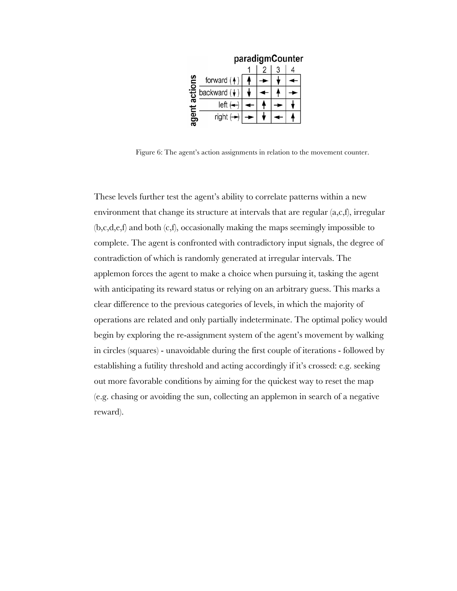|          | paradigmCounter                                                                      |  |  |  |  |
|----------|--------------------------------------------------------------------------------------|--|--|--|--|
|          |                                                                                      |  |  |  |  |
| <u>ဇ</u> | forward $(4)$                                                                        |  |  |  |  |
|          | $\frac{5}{6}$ backward $\left(\frac{1}{6}\right)$<br>left $\left(\frac{1}{6}\right)$ |  |  |  |  |
|          |                                                                                      |  |  |  |  |
| agent    | right $\leftrightarrow$                                                              |  |  |  |  |

Figure 6: The agent's action assignments in relation to the movement counter.

These levels further test the agent's ability to correlate patterns within a new environment that change its structure at intervals that are regular (a,c,f), irregular (b,c,d,e,f) and both (c,f), occasionally making the maps seemingly impossible to complete. The agent is confronted with contradictory input signals, the degree of contradiction of which is randomly generated at irregular intervals. The applemon forces the agent to make a choice when pursuing it, tasking the agent with anticipating its reward status or relying on an arbitrary guess. This marks a clear difference to the previous categories of levels, in which the majority of operations are related and only partially indeterminate. The optimal policy would begin by exploring the re-assignment system of the agent's movement by walking in circles (squares) - unavoidable during the first couple of iterations - followed by establishing a futility threshold and acting accordingly if it's crossed: e.g. seeking out more favorable conditions by aiming for the quickest way to reset the map (e.g. chasing or avoiding the sun, collecting an applemon in search of a negative reward).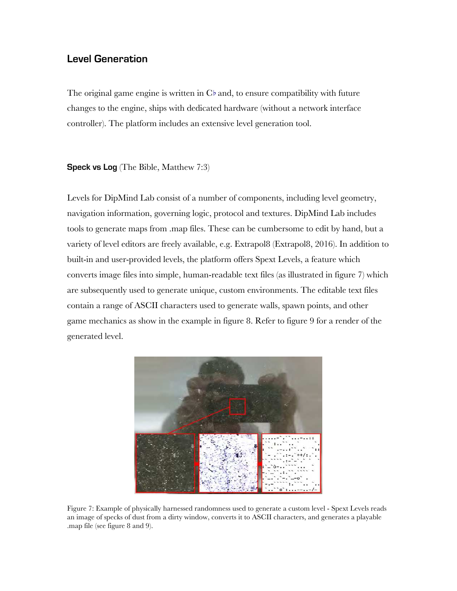## **Level Generation**

The original game engine is written in C[♭](https://en.wikipedia.org/wiki/A%E2%99%AD_(musical_note)) and, to ensure compatibility with future changes to the engine, ships with dedicated hardware (without a network interface controller). The platform includes an extensive level generation tool.

**Speck vs Log** (The Bible, Matthew 7:3)

Levels for DipMind Lab consist of a number of components, including level geometry, navigation information, governing logic, protocol and textures. DipMind Lab includes tools to generate maps from .map files. These can be cumbersome to edit by hand, but a variety of level editors are freely available, e.g. Extrapol8 (Extrapol8, 2016). In addition to built-in and user-provided levels, the platform offers Spext Levels, a feature which converts image files into simple, human-readable text files (as illustrated in figure 7) which are subsequently used to generate unique, custom environments. The editable text files contain a range of ASCII characters used to generate walls, spawn points, and other game mechanics as show in the example in figure 8. Refer to figure 9 for a render of the generated level.



Figure 7: Example of physically harnessed randomness used to generate a custom level - Spext Levels reads an image of specks of dust from a dirty window, converts it to ASCII characters, and generates a playable .map file (see figure 8 and 9).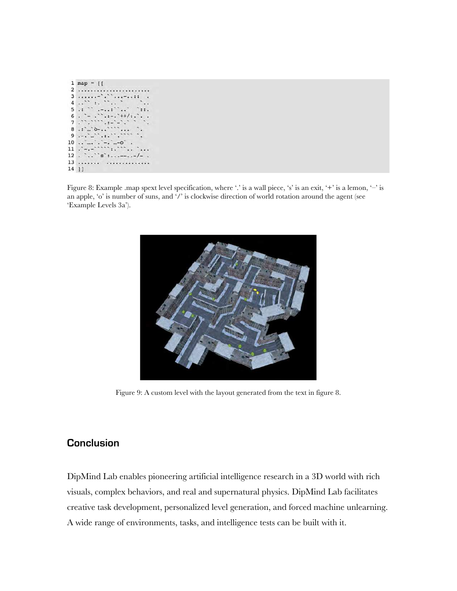

Figure 8: Example .map spext level specification, where '.' is a wall piece, 's' is an exit, '+' is a lemon, '-' is an apple, 'o' is number of suns, and '/' is clockwise direction of world rotation around the agent (see 'Example Levels 3a').



Figure 9: A custom level with the layout generated from the text in figure 8.

# **Conclusion**

DipMind Lab enables pioneering artificial intelligence research in a 3D world with rich visuals, complex behaviors, and real and supernatural physics. DipMind Lab facilitates creative task development, personalized level generation, and forced machine unlearning. A wide range of environments, tasks, and intelligence tests can be built with it.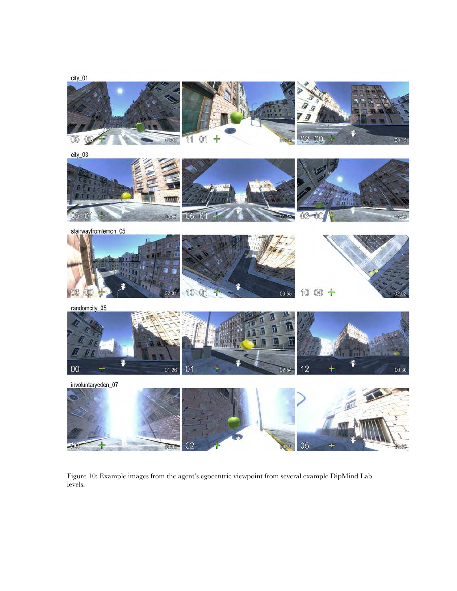

Figure 10: Example images from the agent's egocentric viewpoint from several example DipMind Lab levels.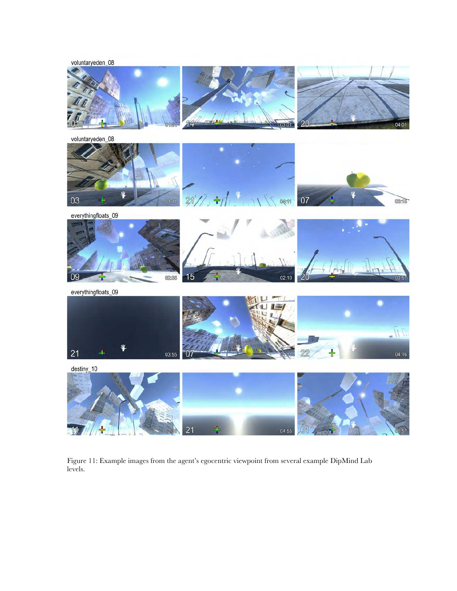



Figure 11: Example images from the agent's egocentric viewpoint from several example DipMind Lab levels.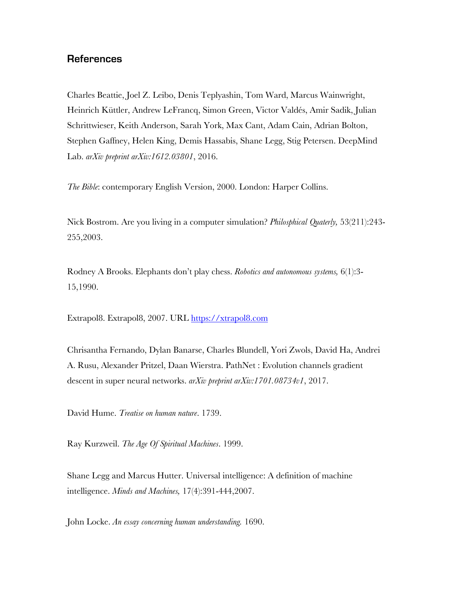## **References**

Charles Beattie, Joel Z. Leibo, Denis Teplyashin, Tom Ward, Marcus Wainwright, Heinrich Küttler, Andrew LeFrancq, Simon Green, Victor Valdés, Amir Sadik, Julian Schrittwieser, Keith Anderson, Sarah York, Max Cant, Adam Cain, Adrian Bolton, Stephen Gaffney, Helen King, Demis Hassabis, Shane Legg, Stig Petersen. DeepMind Lab. *arXiv preprint arXiv:1612.03801*, 2016.

*The Bible*: contemporary English Version, 2000. London: Harper Collins.

Nick Bostrom. Are you living in a computer simulation? *Philosphical Quaterly,* 53(211):243- 255,2003.

Rodney A Brooks. Elephants don't play chess. *Robotics and autonomous systems,* 6(1):3- 15,1990.

Extrapol8. Extrapol8, 2007. URL<https://xtrapol8.com>

Chrisantha Fernando, Dylan Banarse, Charles Blundell, Yori Zwols, David Ha, Andrei A. Rusu, Alexander Pritzel, Daan Wierstra. PathNet : Evolution channels gradient descent in super neural networks. *arXiv preprint arXiv:1701.08734v1*, 2017.

David Hume. *Treatise on human nature*. 1739.

Ray Kurzweil. *The Age Of Spiritual Machines*. 1999.

Shane Legg and Marcus Hutter. Universal intelligence: A definition of machine intelligence. *Minds and Machines,* 17(4):391-444,2007.

John Locke. *An essay concerning human understanding.* 1690.